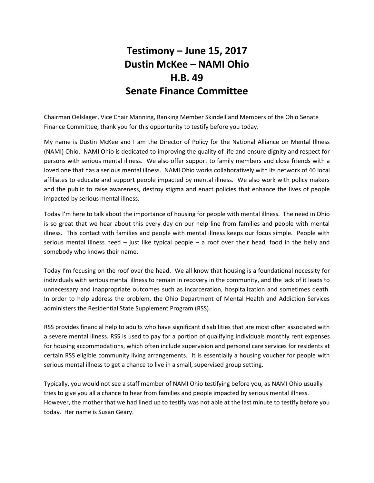## **Testimony – June 15, 2017 Dustin McKee – NAMI Ohio H.B. 49 Senate Finance Committee**

Chairman Oelslager, Vice Chair Manning, Ranking Member Skindell and Members of the Ohio Senate Finance Committee, thank you for this opportunity to testify before you today.

My name is Dustin McKee and I am the Director of Policy for the National Alliance on Mental Illness (NAMI) Ohio. NAMI Ohio is dedicated to improving the quality of life and ensure dignity and respect for persons with serious mental illness. We also offer support to family members and close friends with a loved one that has a serious mental illness. NAMI Ohio works collaboratively with its network of 40 local affiliates to educate and support people impacted by mental illness. We also work with policy makers and the public to raise awareness, destroy stigma and enact policies that enhance the lives of people impacted by serious mental illness.

Today I'm here to talk about the importance of housing for people with mental illness. The need in Ohio is so great that we hear about this every day on our help line from families and people with mental illness. This contact with families and people with mental illness keeps our focus simple. People with serious mental illness need  $-$  just like typical people  $-$  a roof over their head, food in the belly and somebody who knows their name.

Today I'm focusing on the roof over the head. We all know that housing is a foundational necessity for individuals with serious mental illness to remain in recovery in the community, and the lack of it leads to unnecessary and inappropriate outcomes such as incarceration, hospitalization and sometimes death. In order to help address the problem, the Ohio Department of Mental Health and Addiction Services administers the Residential State Supplement Program (RSS).

RSS provides financial help to adults who have significant disabilities that are most often associated with a severe mental illness. RSS is used to pay for a portion of qualifying individuals monthly rent expenses for housing accommodations, which often include supervision and personal care services for residents at certain RSS eligible community living arrangements. It is essentially a housing voucher for people with serious mental illness to get a chance to live in a small, supervised group setting.

Typically, you would not see a staff member of NAMI Ohio testifying before you, as NAMI Ohio usually tries to give you all a chance to hear from families and people impacted by serious mental illness. However, the mother that we had lined up to testify was not able at the last minute to testify before you today. Her name is Susan Geary.